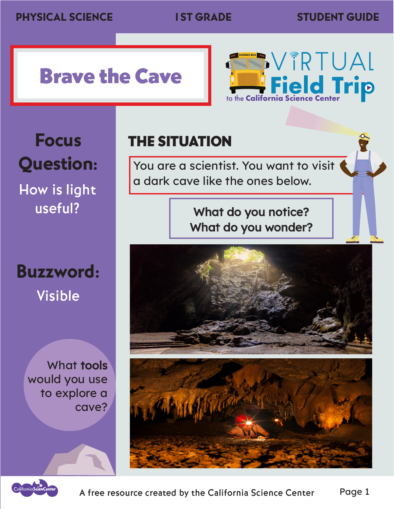## Brave the Cave



Focus Question:

How is light useful?

Buzzword: Visible

> What tools would you use to explore a cave?

THE SITUATION

You are a scientist. You want to visit a dark cave like the ones below.

> What do you notice? What do you wonder?



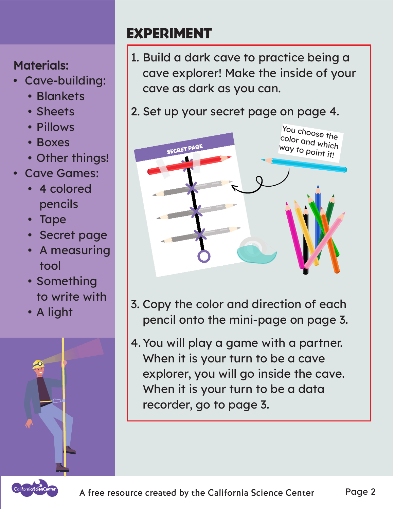### EXPERIMENT

### Materials:

- Cave-building:
	- Blankets
	- Sheets
	- Pillows
	- Boxes
	- Other things!
- Cave Games:
	- 4 colored pencils
	- Tape
	- Secret page
	- A measuring tool
	- Something to write with
	- A light



1. Build a dark cave to practice being a cave explorer! Make the inside of your cave as dark as you can.

### 2. Set up your secret page on page 4.



- 3. Copy the color and direction of each pencil onto the mini-page on page 3.
- 4.You will play a game with a partner. When it is your turn to be a cave explorer, you will go inside the cave. When it is your turn to be a data recorder, go to page 3.

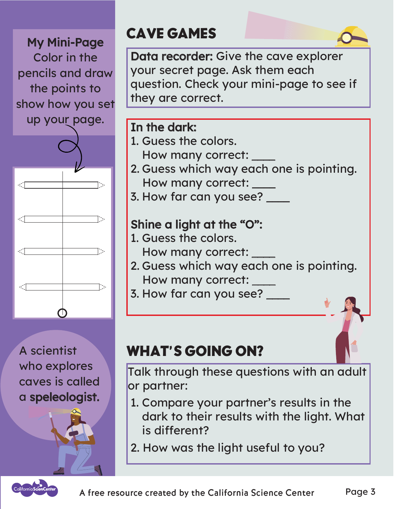My Mini-Page Color in the pencils and draw the points to show how you set up your page.



A scientist who explores caves is called a speleologist.

### CAVE GAMES

Data recorder: Give the cave explorer your secret page. Ask them each question. Check your mini-page to see if they are correct.

#### In the dark:

- 1. Guess the colors.
- How many correct: \_\_\_\_
- 2. Guess which way each one is pointing. How many correct: \_\_\_\_
- 3. How far can you see? \_\_\_\_

### Shine a light at the "O":

- 1. Guess the colors. How many correct:
- 2. Guess which way each one is pointing. How many correct: \_\_\_\_ \_\_\_\_
- 3. How far can you see? \_

### WHAT'S GOING ON?

Talk through these questions with an adult or partner:

- 1. Compare your partner's results in the dark to their results with the light. What is different?
- 2. How was the light useful to you?